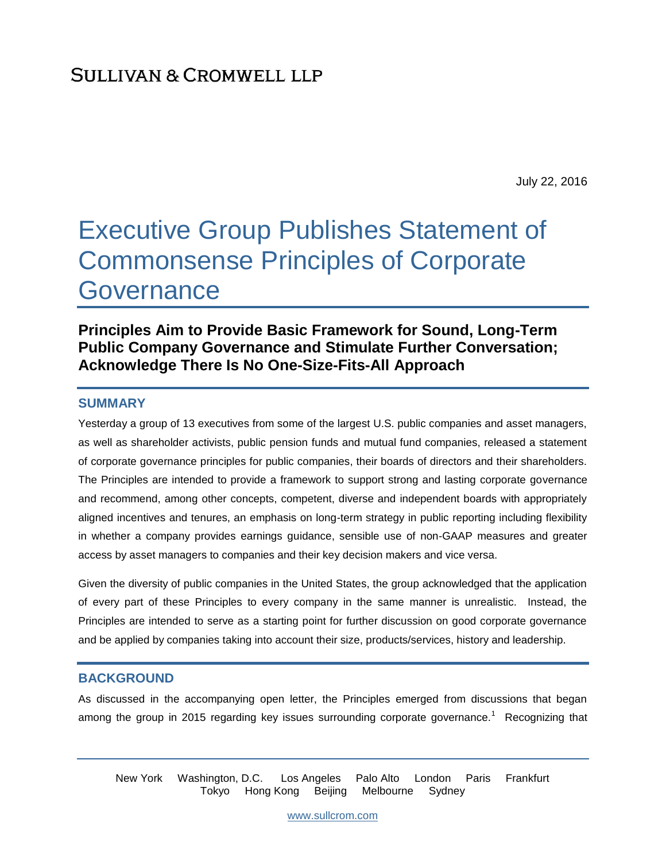July 22, 2016

# Executive Group Publishes Statement of Commonsense Principles of Corporate **Governance**

## **Principles Aim to Provide Basic Framework for Sound, Long-Term Public Company Governance and Stimulate Further Conversation; Acknowledge There Is No One-Size-Fits-All Approach**

#### **SUMMARY**

Yesterday a group of 13 executives from some of the largest U.S. public companies and asset managers, as well as shareholder activists, public pension funds and mutual fund companies, released a statement of corporate governance principles for public companies, their boards of directors and their shareholders. The Principles are intended to provide a framework to support strong and lasting corporate governance and recommend, among other concepts, competent, diverse and independent boards with appropriately aligned incentives and tenures, an emphasis on long-term strategy in public reporting including flexibility in whether a company provides earnings guidance, sensible use of non-GAAP measures and greater access by asset managers to companies and their key decision makers and vice versa.

Given the diversity of public companies in the United States, the group acknowledged that the application of every part of these Principles to every company in the same manner is unrealistic. Instead, the Principles are intended to serve as a starting point for further discussion on good corporate governance and be applied by companies taking into account their size, products/services, history and leadership.

#### **BACKGROUND**

As discussed in the accompanying open letter, the Principles emerged from discussions that began among the group in 2015 regarding key issues surrounding corporate governance.<sup>1</sup> Recognizing that

New York Washington, D.C. Los Angeles Palo Alto London Paris Frankfurt Tokyo Hong Kong Beijing Melbourne Sydney

[www.sullcrom.com](http://www.sullcrom.com/)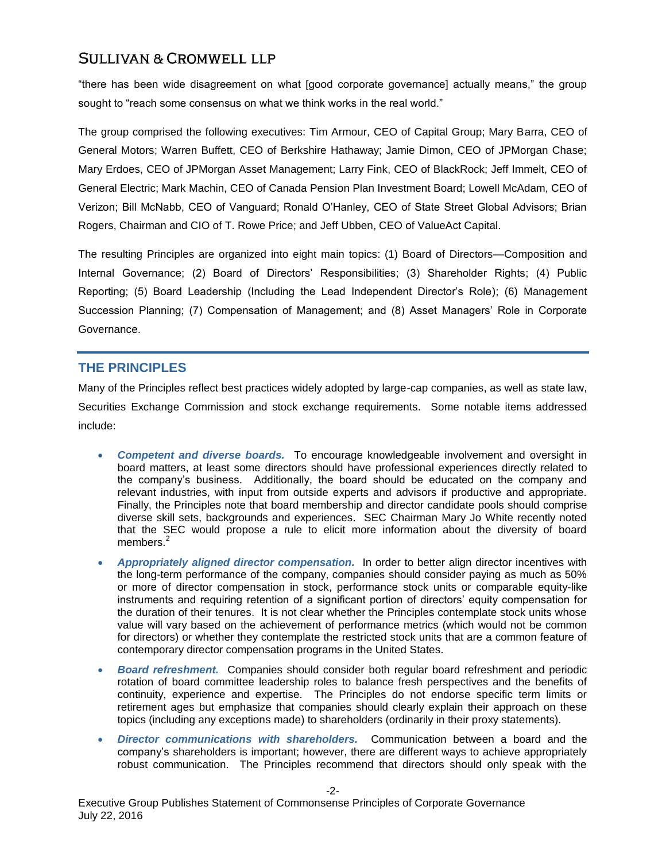"there has been wide disagreement on what [good corporate governance] actually means," the group sought to "reach some consensus on what we think works in the real world."

The group comprised the following executives: Tim Armour, CEO of Capital Group; Mary Barra, CEO of General Motors; Warren Buffett, CEO of Berkshire Hathaway; Jamie Dimon, CEO of JPMorgan Chase; Mary Erdoes, CEO of JPMorgan Asset Management; Larry Fink, CEO of BlackRock; Jeff Immelt, CEO of General Electric; Mark Machin, CEO of Canada Pension Plan Investment Board; Lowell McAdam, CEO of Verizon; Bill McNabb, CEO of Vanguard; Ronald O'Hanley, CEO of State Street Global Advisors; Brian Rogers, Chairman and CIO of T. Rowe Price; and Jeff Ubben, CEO of ValueAct Capital.

The resulting Principles are organized into eight main topics: (1) Board of Directors—Composition and Internal Governance; (2) Board of Directors' Responsibilities; (3) Shareholder Rights; (4) Public Reporting; (5) Board Leadership (Including the Lead Independent Director's Role); (6) Management Succession Planning; (7) Compensation of Management; and (8) Asset Managers' Role in Corporate Governance.

## **THE PRINCIPLES**

Many of the Principles reflect best practices widely adopted by large-cap companies, as well as state law, Securities Exchange Commission and stock exchange requirements. Some notable items addressed include:

- *Competent and diverse boards.* To encourage knowledgeable involvement and oversight in board matters, at least some directors should have professional experiences directly related to the company's business. Additionally, the board should be educated on the company and relevant industries, with input from outside experts and advisors if productive and appropriate. Finally, the Principles note that board membership and director candidate pools should comprise diverse skill sets, backgrounds and experiences. SEC Chairman Mary Jo White recently noted that the SEC would propose a rule to elicit more information about the diversity of board members.<sup>2</sup>
- *Appropriately aligned director compensation.* In order to better align director incentives with the long-term performance of the company, companies should consider paying as much as 50% or more of director compensation in stock, performance stock units or comparable equity-like instruments and requiring retention of a significant portion of directors' equity compensation for the duration of their tenures. It is not clear whether the Principles contemplate stock units whose value will vary based on the achievement of performance metrics (which would not be common for directors) or whether they contemplate the restricted stock units that are a common feature of contemporary director compensation programs in the United States.
- *Board refreshment.* Companies should consider both regular board refreshment and periodic rotation of board committee leadership roles to balance fresh perspectives and the benefits of continuity, experience and expertise. The Principles do not endorse specific term limits or retirement ages but emphasize that companies should clearly explain their approach on these topics (including any exceptions made) to shareholders (ordinarily in their proxy statements).
- *Director communications with shareholders.* Communication between a board and the company's shareholders is important; however, there are different ways to achieve appropriately robust communication. The Principles recommend that directors should only speak with the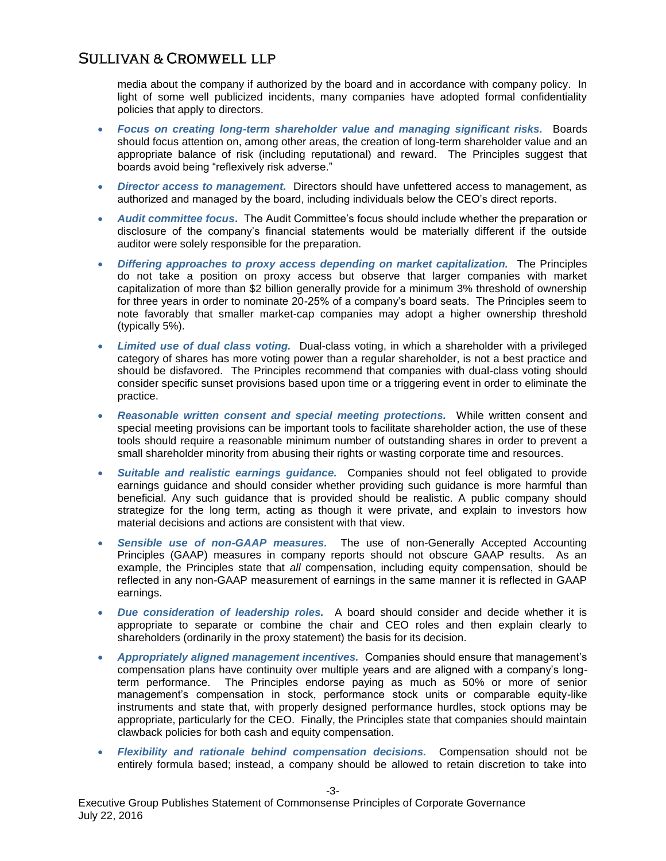media about the company if authorized by the board and in accordance with company policy. In light of some well publicized incidents, many companies have adopted formal confidentiality policies that apply to directors.

- *Focus on creating long-term shareholder value and managing significant risks.* Boards should focus attention on, among other areas, the creation of long-term shareholder value and an appropriate balance of risk (including reputational) and reward. The Principles suggest that boards avoid being "reflexively risk adverse."
- *Director access to management.* Directors should have unfettered access to management, as authorized and managed by the board, including individuals below the CEO's direct reports.
- *Audit committee focus***.** The Audit Committee's focus should include whether the preparation or disclosure of the company's financial statements would be materially different if the outside auditor were solely responsible for the preparation.
- *Differing approaches to proxy access depending on market capitalization.* The Principles do not take a position on proxy access but observe that larger companies with market capitalization of more than \$2 billion generally provide for a minimum 3% threshold of ownership for three years in order to nominate 20-25% of a company's board seats. The Principles seem to note favorably that smaller market-cap companies may adopt a higher ownership threshold (typically 5%).
- *Limited use of dual class voting.* Dual-class voting, in which a shareholder with a privileged category of shares has more voting power than a regular shareholder, is not a best practice and should be disfavored. The Principles recommend that companies with dual-class voting should consider specific sunset provisions based upon time or a triggering event in order to eliminate the practice.
- *Reasonable written consent and special meeting protections.* While written consent and special meeting provisions can be important tools to facilitate shareholder action, the use of these tools should require a reasonable minimum number of outstanding shares in order to prevent a small shareholder minority from abusing their rights or wasting corporate time and resources.
- *Suitable and realistic earnings guidance.* Companies should not feel obligated to provide earnings guidance and should consider whether providing such guidance is more harmful than beneficial. Any such guidance that is provided should be realistic. A public company should strategize for the long term, acting as though it were private, and explain to investors how material decisions and actions are consistent with that view.
- *Sensible use of non-GAAP measures.* The use of non-Generally Accepted Accounting Principles (GAAP) measures in company reports should not obscure GAAP results. As an example, the Principles state that *all* compensation, including equity compensation, should be reflected in any non-GAAP measurement of earnings in the same manner it is reflected in GAAP earnings.
- *Due consideration of leadership roles.* A board should consider and decide whether it is appropriate to separate or combine the chair and CEO roles and then explain clearly to shareholders (ordinarily in the proxy statement) the basis for its decision.
- *Appropriately aligned management incentives.* Companies should ensure that management's compensation plans have continuity over multiple years and are aligned with a company's longterm performance. The Principles endorse paying as much as 50% or more of senior management's compensation in stock, performance stock units or comparable equity-like instruments and state that, with properly designed performance hurdles, stock options may be appropriate, particularly for the CEO. Finally, the Principles state that companies should maintain clawback policies for both cash and equity compensation.
- *Flexibility and rationale behind compensation decisions.* Compensation should not be entirely formula based; instead, a company should be allowed to retain discretion to take into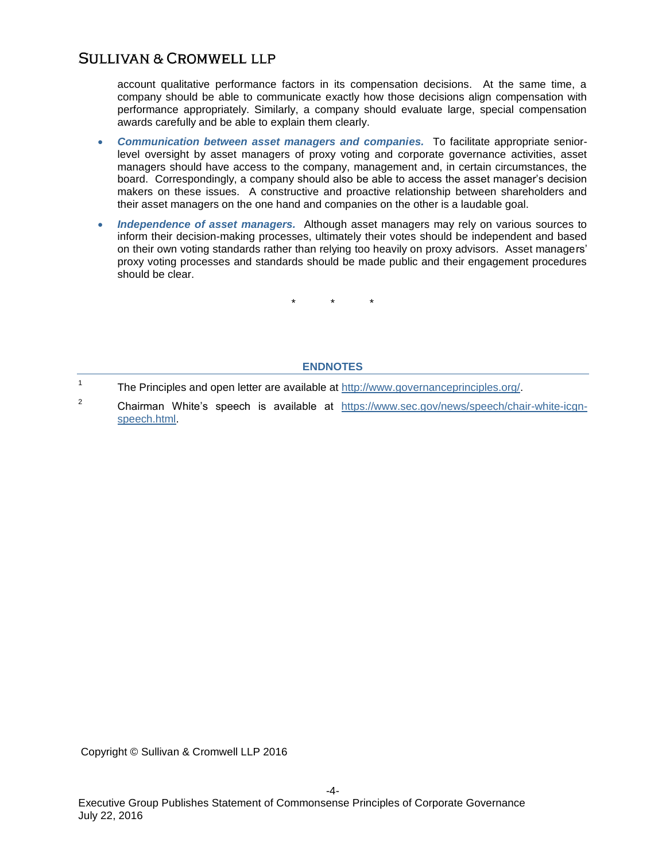account qualitative performance factors in its compensation decisions. At the same time, a company should be able to communicate exactly how those decisions align compensation with performance appropriately. Similarly, a company should evaluate large, special compensation awards carefully and be able to explain them clearly.

- *Communication between asset managers and companies.* To facilitate appropriate seniorlevel oversight by asset managers of proxy voting and corporate governance activities, asset managers should have access to the company, management and, in certain circumstances, the board. Correspondingly, a company should also be able to access the asset manager's decision makers on these issues. A constructive and proactive relationship between shareholders and their asset managers on the one hand and companies on the other is a laudable goal.
- *Independence of asset managers.* Although asset managers may rely on various sources to inform their decision-making processes, ultimately their votes should be independent and based on their own voting standards rather than relying too heavily on proxy advisors. Asset managers' proxy voting processes and standards should be made public and their engagement procedures should be clear.

\* \* \*

#### **ENDNOTES**

- 1 The Principles and open letter are available at [http://www.governanceprinciples.org/.](http://www.governanceprinciples.org/)
- <sup>2</sup> Chairman White's speech is available at [https://www.sec.gov/news/speech/chair-white-icgn](https://www.sec.gov/news/speech/chair-white-icgn-speech.html)[speech.html.](https://www.sec.gov/news/speech/chair-white-icgn-speech.html)

Copyright © Sullivan & Cromwell LLP 2016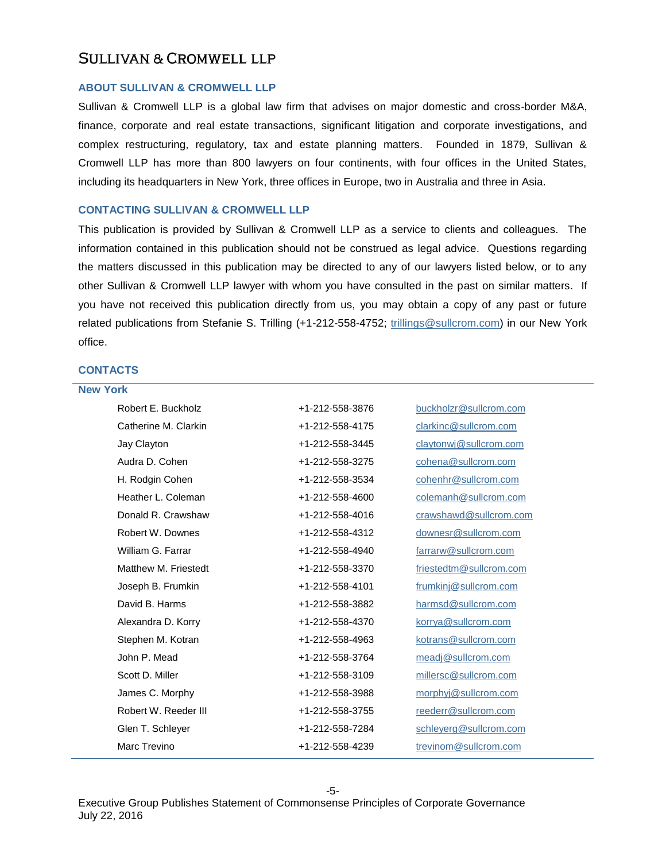#### **ABOUT SULLIVAN & CROMWELL LLP**

Sullivan & Cromwell LLP is a global law firm that advises on major domestic and cross-border M&A, finance, corporate and real estate transactions, significant litigation and corporate investigations, and complex restructuring, regulatory, tax and estate planning matters. Founded in 1879, Sullivan & Cromwell LLP has more than 800 lawyers on four continents, with four offices in the United States, including its headquarters in New York, three offices in Europe, two in Australia and three in Asia.

#### **CONTACTING SULLIVAN & CROMWELL LLP**

This publication is provided by Sullivan & Cromwell LLP as a service to clients and colleagues. The information contained in this publication should not be construed as legal advice. Questions regarding the matters discussed in this publication may be directed to any of our lawyers listed below, or to any other Sullivan & Cromwell LLP lawyer with whom you have consulted in the past on similar matters. If you have not received this publication directly from us, you may obtain a copy of any past or future related publications from Stefanie S. Trilling (+1-212-558-4752; [trillings@sullcrom.com\)](mailto:trillings@sullcrom.com) in our New York office.

#### **CONTACTS**

| <b>New York</b> |                      |                 |                         |  |
|-----------------|----------------------|-----------------|-------------------------|--|
|                 | Robert E. Buckholz   | +1-212-558-3876 | buckholzr@sullcrom.com  |  |
|                 | Catherine M. Clarkin | +1-212-558-4175 | clarkinc@sullcrom.com   |  |
|                 | Jay Clayton          | +1-212-558-3445 | claytonwj@sullcrom.com  |  |
|                 | Audra D. Cohen       | +1-212-558-3275 | cohena@sullcrom.com     |  |
|                 | H. Rodgin Cohen      | +1-212-558-3534 | cohenhr@sullcrom.com    |  |
|                 | Heather L. Coleman   | +1-212-558-4600 | colemanh@sullcrom.com   |  |
|                 | Donald R. Crawshaw   | +1-212-558-4016 | crawshawd@sullcrom.com  |  |
|                 | Robert W. Downes     | +1-212-558-4312 | downesr@sullcrom.com    |  |
|                 | William G. Farrar    | +1-212-558-4940 | farrarw@sullcrom.com    |  |
|                 | Matthew M. Friestedt | +1-212-558-3370 | friestedtm@sullcrom.com |  |
|                 | Joseph B. Frumkin    | +1-212-558-4101 | frumkinj@sullcrom.com   |  |
|                 | David B. Harms       | +1-212-558-3882 | harmsd@sullcrom.com     |  |
|                 | Alexandra D. Korry   | +1-212-558-4370 | korrya@sullcrom.com     |  |
|                 | Stephen M. Kotran    | +1-212-558-4963 | kotrans@sullcrom.com    |  |
|                 | John P. Mead         | +1-212-558-3764 | meadj@sullcrom.com      |  |
|                 | Scott D. Miller      | +1-212-558-3109 | millersc@sullcrom.com   |  |
|                 | James C. Morphy      | +1-212-558-3988 | morphyj@sullcrom.com    |  |
|                 | Robert W. Reeder III | +1-212-558-3755 | reederr@sullcrom.com    |  |
|                 | Glen T. Schleyer     | +1-212-558-7284 | schleyerg@sullcrom.com  |  |
|                 | Marc Trevino         | +1-212-558-4239 | trevinom@sullcrom.com   |  |
|                 |                      |                 |                         |  |